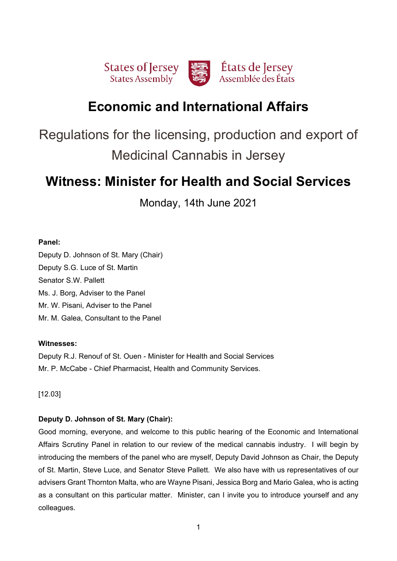

# **Economic and International Affairs**

Regulations for the licensing, production and export of Medicinal Cannabis in Jersey

# **Witness: Minister for Health and Social Services**

Monday, 14th June 2021

## **Panel:**

Deputy D. Johnson of St. Mary (Chair) Deputy S.G. Luce of St. Martin Senator S.W. Pallett Ms. J. Borg, Adviser to the Panel Mr. W. Pisani, Adviser to the Panel Mr. M. Galea, Consultant to the Panel

## **Witnesses:**

Deputy R.J. Renouf of St. Ouen - Minister for Health and Social Services Mr. P. McCabe - Chief Pharmacist, Health and Community Services.

[12.03]

## **Deputy D. Johnson of St. Mary (Chair):**

Good morning, everyone, and welcome to this public hearing of the Economic and International Affairs Scrutiny Panel in relation to our review of the medical cannabis industry. I will begin by introducing the members of the panel who are myself, Deputy David Johnson as Chair, the Deputy of St. Martin, Steve Luce, and Senator Steve Pallett. We also have with us representatives of our advisers Grant Thornton Malta, who are Wayne Pisani, Jessica Borg and Mario Galea, who is acting as a consultant on this particular matter. Minister, can I invite you to introduce yourself and any colleagues.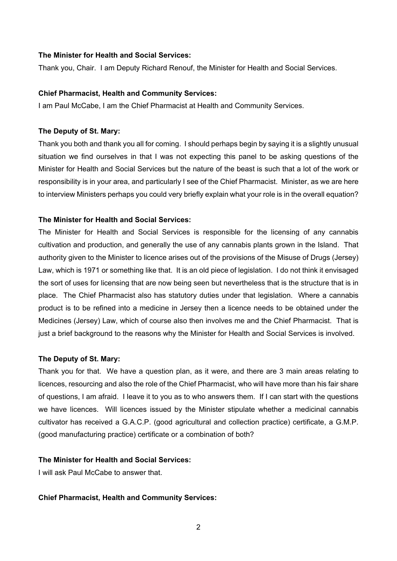## **The Minister for Health and Social Services:**

Thank you, Chair. I am Deputy Richard Renouf, the Minister for Health and Social Services.

#### **Chief Pharmacist, Health and Community Services:**

I am Paul McCabe, I am the Chief Pharmacist at Health and Community Services.

#### **The Deputy of St. Mary:**

Thank you both and thank you all for coming. I should perhaps begin by saying it is a slightly unusual situation we find ourselves in that I was not expecting this panel to be asking questions of the Minister for Health and Social Services but the nature of the beast is such that a lot of the work or responsibility is in your area, and particularly I see of the Chief Pharmacist. Minister, as we are here to interview Ministers perhaps you could very briefly explain what your role is in the overall equation?

## **The Minister for Health and Social Services:**

The Minister for Health and Social Services is responsible for the licensing of any cannabis cultivation and production, and generally the use of any cannabis plants grown in the Island. That authority given to the Minister to licence arises out of the provisions of the Misuse of Drugs (Jersey) Law, which is 1971 or something like that. It is an old piece of legislation. I do not think it envisaged the sort of uses for licensing that are now being seen but nevertheless that is the structure that is in place. The Chief Pharmacist also has statutory duties under that legislation. Where a cannabis product is to be refined into a medicine in Jersey then a licence needs to be obtained under the Medicines (Jersey) Law, which of course also then involves me and the Chief Pharmacist. That is just a brief background to the reasons why the Minister for Health and Social Services is involved.

#### **The Deputy of St. Mary:**

Thank you for that. We have a question plan, as it were, and there are 3 main areas relating to licences, resourcing and also the role of the Chief Pharmacist, who will have more than his fair share of questions, I am afraid. I leave it to you as to who answers them. If I can start with the questions we have licences. Will licences issued by the Minister stipulate whether a medicinal cannabis cultivator has received a G.A.C.P. (good agricultural and collection practice) certificate, a G.M.P. (good manufacturing practice) certificate or a combination of both?

#### **The Minister for Health and Social Services:**

I will ask Paul McCabe to answer that.

#### **Chief Pharmacist, Health and Community Services:**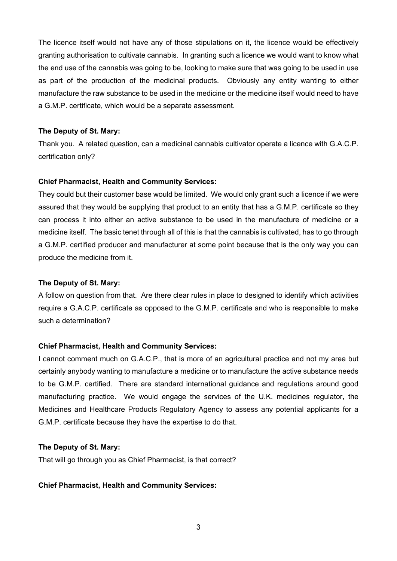The licence itself would not have any of those stipulations on it, the licence would be effectively granting authorisation to cultivate cannabis. In granting such a licence we would want to know what the end use of the cannabis was going to be, looking to make sure that was going to be used in use as part of the production of the medicinal products. Obviously any entity wanting to either manufacture the raw substance to be used in the medicine or the medicine itself would need to have a G.M.P. certificate, which would be a separate assessment.

## **The Deputy of St. Mary:**

Thank you. A related question, can a medicinal cannabis cultivator operate a licence with G.A.C.P. certification only?

## **Chief Pharmacist, Health and Community Services:**

They could but their customer base would be limited. We would only grant such a licence if we were assured that they would be supplying that product to an entity that has a G.M.P. certificate so they can process it into either an active substance to be used in the manufacture of medicine or a medicine itself. The basic tenet through all of this is that the cannabis is cultivated, has to go through a G.M.P. certified producer and manufacturer at some point because that is the only way you can produce the medicine from it.

#### **The Deputy of St. Mary:**

A follow on question from that. Are there clear rules in place to designed to identify which activities require a G.A.C.P. certificate as opposed to the G.M.P. certificate and who is responsible to make such a determination?

#### **Chief Pharmacist, Health and Community Services:**

I cannot comment much on G.A.C.P., that is more of an agricultural practice and not my area but certainly anybody wanting to manufacture a medicine or to manufacture the active substance needs to be G.M.P. certified. There are standard international guidance and regulations around good manufacturing practice. We would engage the services of the U.K. medicines regulator, the Medicines and Healthcare Products Regulatory Agency to assess any potential applicants for a G.M.P. certificate because they have the expertise to do that.

#### **The Deputy of St. Mary:**

That will go through you as Chief Pharmacist, is that correct?

## **Chief Pharmacist, Health and Community Services:**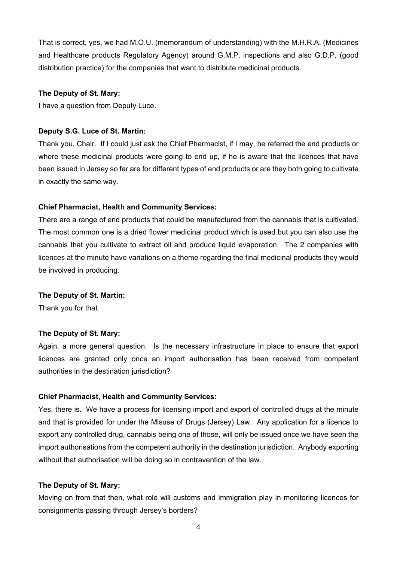That is correct, yes, we had M.O.U. (memorandum of understanding) with the M.H.R.A. (Medicines and Healthcare products Regulatory Agency) around G.M.P. inspections and also G.D.P. (good distribution practice) for the companies that want to distribute medicinal products.

### **The Deputy of St. Mary:**

I have a question from Deputy Luce.

#### **Deputy S.G. Luce of St. Martin:**

Thank you, Chair. If I could just ask the Chief Pharmacist, if I may, he referred the end products or where these medicinal products were going to end up, if he is aware that the licences that have been issued in Jersey so far are for different types of end products or are they both going to cultivate in exactly the same way.

#### **Chief Pharmacist, Health and Community Services:**

There are a range of end products that could be manufactured from the cannabis that is cultivated. The most common one is a dried flower medicinal product which is used but you can also use the cannabis that you cultivate to extract oil and produce liquid evaporation. The 2 companies with licences at the minute have variations on a theme regarding the final medicinal products they would be involved in producing.

#### **The Deputy of St. Martin:**

Thank you for that.

#### **The Deputy of St. Mary:**

Again, a more general question. Is the necessary infrastructure in place to ensure that export licences are granted only once an import authorisation has been received from competent authorities in the destination jurisdiction?

### **Chief Pharmacist, Health and Community Services:**

Yes, there is. We have a process for licensing import and export of controlled drugs at the minute and that is provided for under the Misuse of Drugs (Jersey) Law. Any application for a licence to export any controlled drug, cannabis being one of those, will only be issued once we have seen the import authorisations from the competent authority in the destination jurisdiction. Anybody exporting without that authorisation will be doing so in contravention of the law.

#### **The Deputy of St. Mary:**

Moving on from that then, what role will customs and immigration play in monitoring licences for consignments passing through Jersey's borders?

4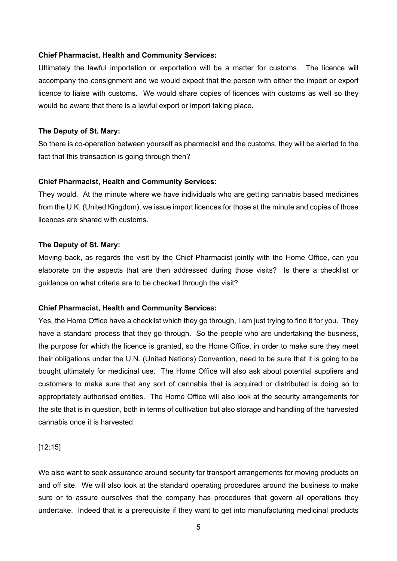#### **Chief Pharmacist, Health and Community Services:**

Ultimately the lawful importation or exportation will be a matter for customs. The licence will accompany the consignment and we would expect that the person with either the import or export licence to liaise with customs. We would share copies of licences with customs as well so they would be aware that there is a lawful export or import taking place.

#### **The Deputy of St. Mary:**

So there is co-operation between yourself as pharmacist and the customs, they will be alerted to the fact that this transaction is going through then?

#### **Chief Pharmacist, Health and Community Services:**

They would. At the minute where we have individuals who are getting cannabis based medicines from the U.K. (United Kingdom), we issue import licences for those at the minute and copies of those licences are shared with customs.

### **The Deputy of St. Mary:**

Moving back, as regards the visit by the Chief Pharmacist jointly with the Home Office, can you elaborate on the aspects that are then addressed during those visits? Is there a checklist or guidance on what criteria are to be checked through the visit?

#### **Chief Pharmacist, Health and Community Services:**

Yes, the Home Office have a checklist which they go through, I am just trying to find it for you. They have a standard process that they go through. So the people who are undertaking the business, the purpose for which the licence is granted, so the Home Office, in order to make sure they meet their obligations under the U.N. (United Nations) Convention, need to be sure that it is going to be bought ultimately for medicinal use. The Home Office will also ask about potential suppliers and customers to make sure that any sort of cannabis that is acquired or distributed is doing so to appropriately authorised entities. The Home Office will also look at the security arrangements for the site that is in question, both in terms of cultivation but also storage and handling of the harvested cannabis once it is harvested.

[12:15]

We also want to seek assurance around security for transport arrangements for moving products on and off site. We will also look at the standard operating procedures around the business to make sure or to assure ourselves that the company has procedures that govern all operations they undertake. Indeed that is a prerequisite if they want to get into manufacturing medicinal products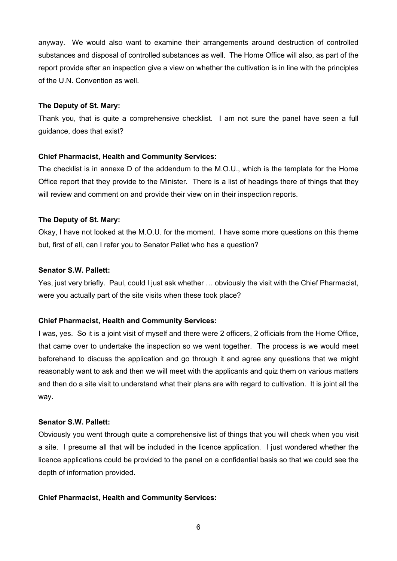anyway. We would also want to examine their arrangements around destruction of controlled substances and disposal of controlled substances as well. The Home Office will also, as part of the report provide after an inspection give a view on whether the cultivation is in line with the principles of the U.N. Convention as well.

#### **The Deputy of St. Mary:**

Thank you, that is quite a comprehensive checklist. I am not sure the panel have seen a full guidance, does that exist?

#### **Chief Pharmacist, Health and Community Services:**

The checklist is in annexe D of the addendum to the M.O.U., which is the template for the Home Office report that they provide to the Minister. There is a list of headings there of things that they will review and comment on and provide their view on in their inspection reports.

#### **The Deputy of St. Mary:**

Okay, I have not looked at the M.O.U. for the moment. I have some more questions on this theme but, first of all, can I refer you to Senator Pallet who has a question?

## **Senator S.W. Pallett:**

Yes, just very briefly. Paul, could I just ask whether … obviously the visit with the Chief Pharmacist, were you actually part of the site visits when these took place?

#### **Chief Pharmacist, Health and Community Services:**

I was, yes. So it is a joint visit of myself and there were 2 officers, 2 officials from the Home Office, that came over to undertake the inspection so we went together. The process is we would meet beforehand to discuss the application and go through it and agree any questions that we might reasonably want to ask and then we will meet with the applicants and quiz them on various matters and then do a site visit to understand what their plans are with regard to cultivation. It is joint all the way.

## **Senator S.W. Pallett:**

Obviously you went through quite a comprehensive list of things that you will check when you visit a site. I presume all that will be included in the licence application. I just wondered whether the licence applications could be provided to the panel on a confidential basis so that we could see the depth of information provided.

#### **Chief Pharmacist, Health and Community Services:**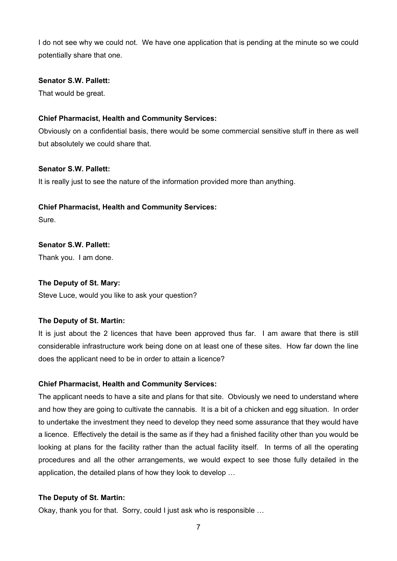I do not see why we could not. We have one application that is pending at the minute so we could potentially share that one.

### **Senator S.W. Pallett:**

That would be great.

## **Chief Pharmacist, Health and Community Services:**

Obviously on a confidential basis, there would be some commercial sensitive stuff in there as well but absolutely we could share that.

## **Senator S.W. Pallett:**

It is really just to see the nature of the information provided more than anything.

## **Chief Pharmacist, Health and Community Services:**

Sure.

## **Senator S.W. Pallett:**

Thank you. I am done.

## **The Deputy of St. Mary:**

Steve Luce, would you like to ask your question?

## **The Deputy of St. Martin:**

It is just about the 2 licences that have been approved thus far. I am aware that there is still considerable infrastructure work being done on at least one of these sites. How far down the line does the applicant need to be in order to attain a licence?

## **Chief Pharmacist, Health and Community Services:**

The applicant needs to have a site and plans for that site. Obviously we need to understand where and how they are going to cultivate the cannabis. It is a bit of a chicken and egg situation. In order to undertake the investment they need to develop they need some assurance that they would have a licence. Effectively the detail is the same as if they had a finished facility other than you would be looking at plans for the facility rather than the actual facility itself. In terms of all the operating procedures and all the other arrangements, we would expect to see those fully detailed in the application, the detailed plans of how they look to develop …

## **The Deputy of St. Martin:**

Okay, thank you for that. Sorry, could I just ask who is responsible …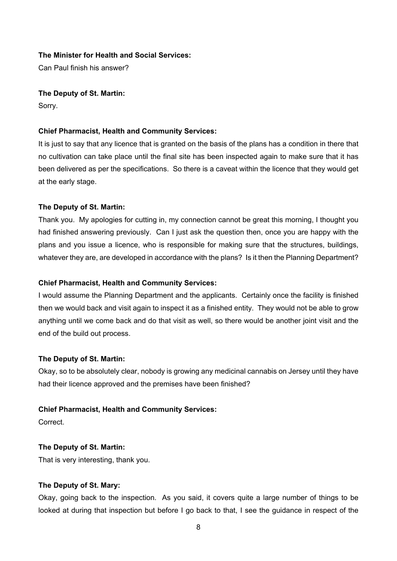## **The Minister for Health and Social Services:**

Can Paul finish his answer?

#### **The Deputy of St. Martin:**

Sorry.

#### **Chief Pharmacist, Health and Community Services:**

It is just to say that any licence that is granted on the basis of the plans has a condition in there that no cultivation can take place until the final site has been inspected again to make sure that it has been delivered as per the specifications. So there is a caveat within the licence that they would get at the early stage.

#### **The Deputy of St. Martin:**

Thank you. My apologies for cutting in, my connection cannot be great this morning, I thought you had finished answering previously. Can I just ask the question then, once you are happy with the plans and you issue a licence, who is responsible for making sure that the structures, buildings, whatever they are, are developed in accordance with the plans? Is it then the Planning Department?

#### **Chief Pharmacist, Health and Community Services:**

I would assume the Planning Department and the applicants. Certainly once the facility is finished then we would back and visit again to inspect it as a finished entity. They would not be able to grow anything until we come back and do that visit as well, so there would be another joint visit and the end of the build out process.

#### **The Deputy of St. Martin:**

Okay, so to be absolutely clear, nobody is growing any medicinal cannabis on Jersey until they have had their licence approved and the premises have been finished?

#### **Chief Pharmacist, Health and Community Services:**

**Correct** 

#### **The Deputy of St. Martin:**

That is very interesting, thank you.

## **The Deputy of St. Mary:**

Okay, going back to the inspection. As you said, it covers quite a large number of things to be looked at during that inspection but before I go back to that, I see the guidance in respect of the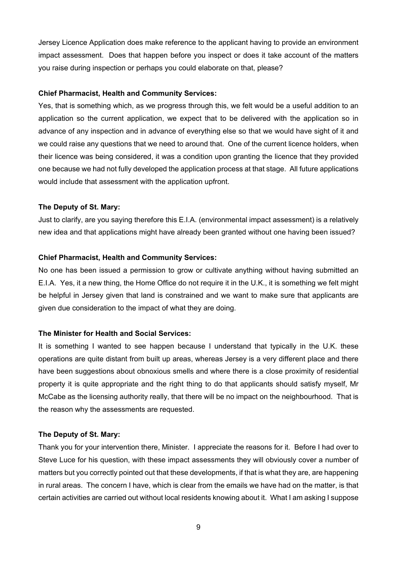Jersey Licence Application does make reference to the applicant having to provide an environment impact assessment. Does that happen before you inspect or does it take account of the matters you raise during inspection or perhaps you could elaborate on that, please?

#### **Chief Pharmacist, Health and Community Services:**

Yes, that is something which, as we progress through this, we felt would be a useful addition to an application so the current application, we expect that to be delivered with the application so in advance of any inspection and in advance of everything else so that we would have sight of it and we could raise any questions that we need to around that. One of the current licence holders, when their licence was being considered, it was a condition upon granting the licence that they provided one because we had not fully developed the application process at that stage. All future applications would include that assessment with the application upfront.

## **The Deputy of St. Mary:**

Just to clarify, are you saying therefore this E.I.A. (environmental impact assessment) is a relatively new idea and that applications might have already been granted without one having been issued?

## **Chief Pharmacist, Health and Community Services:**

No one has been issued a permission to grow or cultivate anything without having submitted an E.I.A. Yes, it a new thing, the Home Office do not require it in the U.K., it is something we felt might be helpful in Jersey given that land is constrained and we want to make sure that applicants are given due consideration to the impact of what they are doing.

## **The Minister for Health and Social Services:**

It is something I wanted to see happen because I understand that typically in the U.K. these operations are quite distant from built up areas, whereas Jersey is a very different place and there have been suggestions about obnoxious smells and where there is a close proximity of residential property it is quite appropriate and the right thing to do that applicants should satisfy myself, Mr McCabe as the licensing authority really, that there will be no impact on the neighbourhood. That is the reason why the assessments are requested.

## **The Deputy of St. Mary:**

Thank you for your intervention there, Minister. I appreciate the reasons for it. Before I had over to Steve Luce for his question, with these impact assessments they will obviously cover a number of matters but you correctly pointed out that these developments, if that is what they are, are happening in rural areas. The concern I have, which is clear from the emails we have had on the matter, is that certain activities are carried out without local residents knowing about it. What I am asking I suppose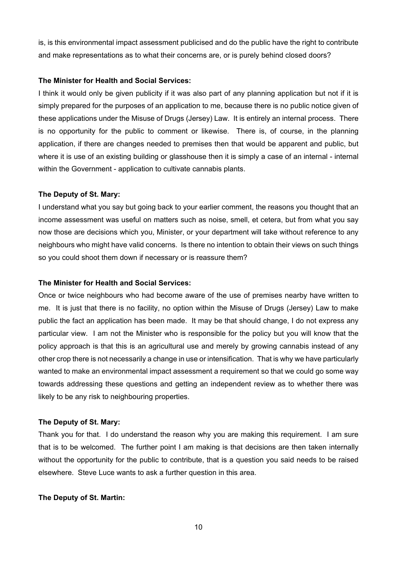is, is this environmental impact assessment publicised and do the public have the right to contribute and make representations as to what their concerns are, or is purely behind closed doors?

#### **The Minister for Health and Social Services:**

I think it would only be given publicity if it was also part of any planning application but not if it is simply prepared for the purposes of an application to me, because there is no public notice given of these applications under the Misuse of Drugs (Jersey) Law. It is entirely an internal process. There is no opportunity for the public to comment or likewise. There is, of course, in the planning application, if there are changes needed to premises then that would be apparent and public, but where it is use of an existing building or glasshouse then it is simply a case of an internal - internal within the Government - application to cultivate cannabis plants.

## **The Deputy of St. Mary:**

I understand what you say but going back to your earlier comment, the reasons you thought that an income assessment was useful on matters such as noise, smell, et cetera, but from what you say now those are decisions which you, Minister, or your department will take without reference to any neighbours who might have valid concerns. Is there no intention to obtain their views on such things so you could shoot them down if necessary or is reassure them?

## **The Minister for Health and Social Services:**

Once or twice neighbours who had become aware of the use of premises nearby have written to me. It is just that there is no facility, no option within the Misuse of Drugs (Jersey) Law to make public the fact an application has been made. It may be that should change, I do not express any particular view. I am not the Minister who is responsible for the policy but you will know that the policy approach is that this is an agricultural use and merely by growing cannabis instead of any other crop there is not necessarily a change in use or intensification. That is why we have particularly wanted to make an environmental impact assessment a requirement so that we could go some way towards addressing these questions and getting an independent review as to whether there was likely to be any risk to neighbouring properties.

#### **The Deputy of St. Mary:**

Thank you for that. I do understand the reason why you are making this requirement. I am sure that is to be welcomed. The further point I am making is that decisions are then taken internally without the opportunity for the public to contribute, that is a question you said needs to be raised elsewhere. Steve Luce wants to ask a further question in this area.

#### **The Deputy of St. Martin:**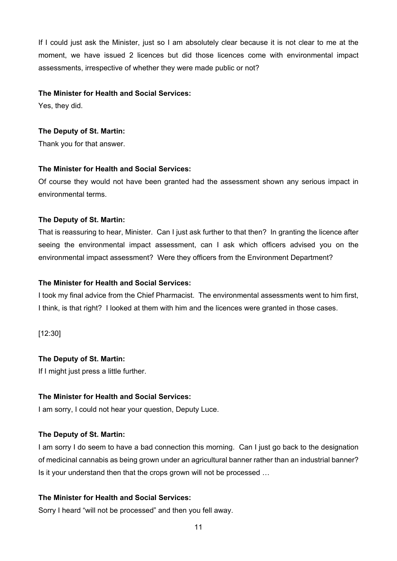If I could just ask the Minister, just so I am absolutely clear because it is not clear to me at the moment, we have issued 2 licences but did those licences come with environmental impact assessments, irrespective of whether they were made public or not?

### **The Minister for Health and Social Services:**

Yes, they did.

## **The Deputy of St. Martin:**

Thank you for that answer.

## **The Minister for Health and Social Services:**

Of course they would not have been granted had the assessment shown any serious impact in environmental terms.

## **The Deputy of St. Martin:**

That is reassuring to hear, Minister. Can I just ask further to that then? In granting the licence after seeing the environmental impact assessment, can I ask which officers advised you on the environmental impact assessment? Were they officers from the Environment Department?

## **The Minister for Health and Social Services:**

I took my final advice from the Chief Pharmacist. The environmental assessments went to him first, I think, is that right? I looked at them with him and the licences were granted in those cases.

[12:30]

## **The Deputy of St. Martin:**

If I might just press a little further.

#### **The Minister for Health and Social Services:**

I am sorry, I could not hear your question, Deputy Luce.

## **The Deputy of St. Martin:**

I am sorry I do seem to have a bad connection this morning. Can I just go back to the designation of medicinal cannabis as being grown under an agricultural banner rather than an industrial banner? Is it your understand then that the crops grown will not be processed …

## **The Minister for Health and Social Services:**

Sorry I heard "will not be processed" and then you fell away.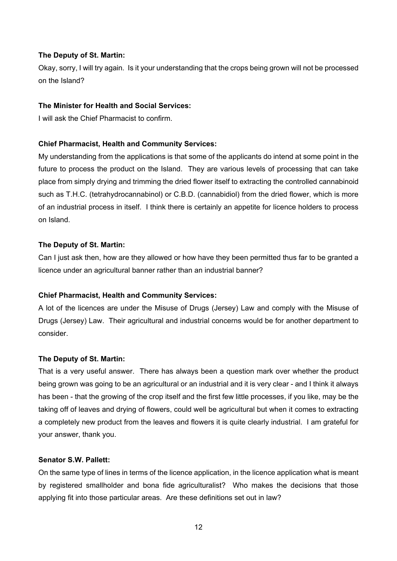## **The Deputy of St. Martin:**

Okay, sorry, I will try again. Is it your understanding that the crops being grown will not be processed on the Island?

## **The Minister for Health and Social Services:**

I will ask the Chief Pharmacist to confirm.

#### **Chief Pharmacist, Health and Community Services:**

My understanding from the applications is that some of the applicants do intend at some point in the future to process the product on the Island. They are various levels of processing that can take place from simply drying and trimming the dried flower itself to extracting the controlled cannabinoid such as T.H.C. (tetrahydrocannabinol) or C.B.D. (cannabidiol) from the dried flower, which is more of an industrial process in itself. I think there is certainly an appetite for licence holders to process on Island.

#### **The Deputy of St. Martin:**

Can I just ask then, how are they allowed or how have they been permitted thus far to be granted a licence under an agricultural banner rather than an industrial banner?

#### **Chief Pharmacist, Health and Community Services:**

A lot of the licences are under the Misuse of Drugs (Jersey) Law and comply with the Misuse of Drugs (Jersey) Law. Their agricultural and industrial concerns would be for another department to consider.

#### **The Deputy of St. Martin:**

That is a very useful answer. There has always been a question mark over whether the product being grown was going to be an agricultural or an industrial and it is very clear - and I think it always has been - that the growing of the crop itself and the first few little processes, if you like, may be the taking off of leaves and drying of flowers, could well be agricultural but when it comes to extracting a completely new product from the leaves and flowers it is quite clearly industrial. I am grateful for your answer, thank you.

#### **Senator S.W. Pallett:**

On the same type of lines in terms of the licence application, in the licence application what is meant by registered smallholder and bona fide agriculturalist? Who makes the decisions that those applying fit into those particular areas. Are these definitions set out in law?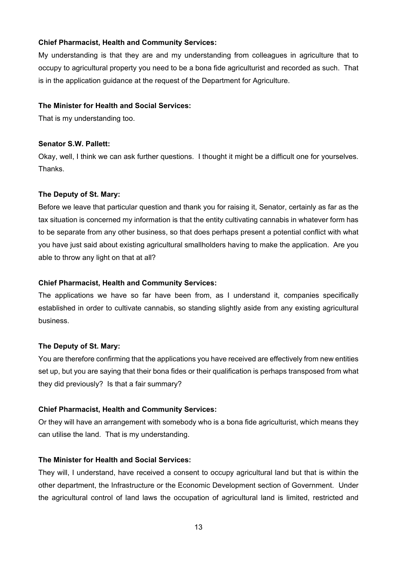## **Chief Pharmacist, Health and Community Services:**

My understanding is that they are and my understanding from colleagues in agriculture that to occupy to agricultural property you need to be a bona fide agriculturist and recorded as such. That is in the application guidance at the request of the Department for Agriculture.

## **The Minister for Health and Social Services:**

That is my understanding too.

## **Senator S.W. Pallett:**

Okay, well, I think we can ask further questions. I thought it might be a difficult one for yourselves. Thanks.

## **The Deputy of St. Mary:**

Before we leave that particular question and thank you for raising it, Senator, certainly as far as the tax situation is concerned my information is that the entity cultivating cannabis in whatever form has to be separate from any other business, so that does perhaps present a potential conflict with what you have just said about existing agricultural smallholders having to make the application. Are you able to throw any light on that at all?

## **Chief Pharmacist, Health and Community Services:**

The applications we have so far have been from, as I understand it, companies specifically established in order to cultivate cannabis, so standing slightly aside from any existing agricultural business.

## **The Deputy of St. Mary:**

You are therefore confirming that the applications you have received are effectively from new entities set up, but you are saying that their bona fides or their qualification is perhaps transposed from what they did previously? Is that a fair summary?

## **Chief Pharmacist, Health and Community Services:**

Or they will have an arrangement with somebody who is a bona fide agriculturist, which means they can utilise the land. That is my understanding.

## **The Minister for Health and Social Services:**

They will, I understand, have received a consent to occupy agricultural land but that is within the other department, the Infrastructure or the Economic Development section of Government. Under the agricultural control of land laws the occupation of agricultural land is limited, restricted and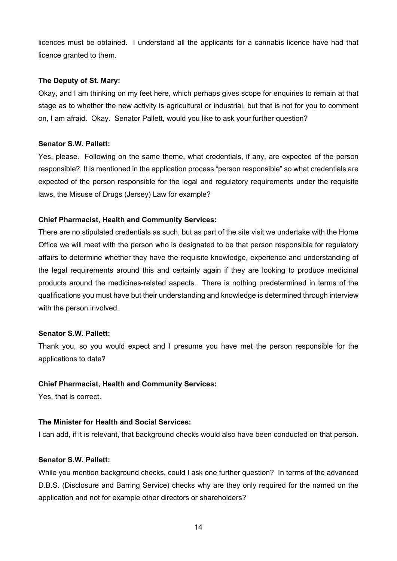licences must be obtained. I understand all the applicants for a cannabis licence have had that licence granted to them.

## **The Deputy of St. Mary:**

Okay, and I am thinking on my feet here, which perhaps gives scope for enquiries to remain at that stage as to whether the new activity is agricultural or industrial, but that is not for you to comment on, I am afraid. Okay. Senator Pallett, would you like to ask your further question?

## **Senator S.W. Pallett:**

Yes, please. Following on the same theme, what credentials, if any, are expected of the person responsible? It is mentioned in the application process "person responsible" so what credentials are expected of the person responsible for the legal and regulatory requirements under the requisite laws, the Misuse of Drugs (Jersey) Law for example?

## **Chief Pharmacist, Health and Community Services:**

There are no stipulated credentials as such, but as part of the site visit we undertake with the Home Office we will meet with the person who is designated to be that person responsible for regulatory affairs to determine whether they have the requisite knowledge, experience and understanding of the legal requirements around this and certainly again if they are looking to produce medicinal products around the medicines-related aspects. There is nothing predetermined in terms of the qualifications you must have but their understanding and knowledge is determined through interview with the person involved.

## **Senator S.W. Pallett:**

Thank you, so you would expect and I presume you have met the person responsible for the applications to date?

## **Chief Pharmacist, Health and Community Services:**

Yes, that is correct.

## **The Minister for Health and Social Services:**

I can add, if it is relevant, that background checks would also have been conducted on that person.

## **Senator S.W. Pallett:**

While you mention background checks, could I ask one further question? In terms of the advanced D.B.S. (Disclosure and Barring Service) checks why are they only required for the named on the application and not for example other directors or shareholders?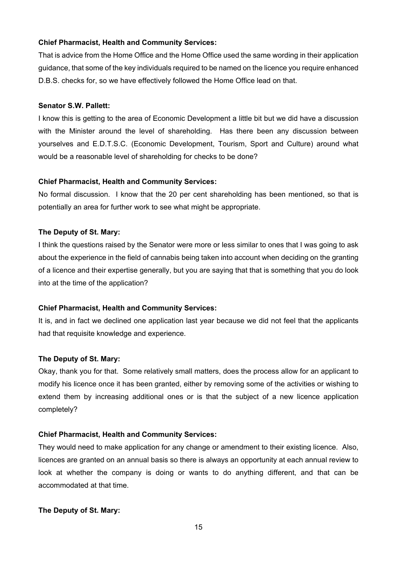## **Chief Pharmacist, Health and Community Services:**

That is advice from the Home Office and the Home Office used the same wording in their application guidance, that some of the key individuals required to be named on the licence you require enhanced D.B.S. checks for, so we have effectively followed the Home Office lead on that.

#### **Senator S.W. Pallett:**

I know this is getting to the area of Economic Development a little bit but we did have a discussion with the Minister around the level of shareholding. Has there been any discussion between yourselves and E.D.T.S.C. (Economic Development, Tourism, Sport and Culture) around what would be a reasonable level of shareholding for checks to be done?

#### **Chief Pharmacist, Health and Community Services:**

No formal discussion. I know that the 20 per cent shareholding has been mentioned, so that is potentially an area for further work to see what might be appropriate.

### **The Deputy of St. Mary:**

I think the questions raised by the Senator were more or less similar to ones that I was going to ask about the experience in the field of cannabis being taken into account when deciding on the granting of a licence and their expertise generally, but you are saying that that is something that you do look into at the time of the application?

#### **Chief Pharmacist, Health and Community Services:**

It is, and in fact we declined one application last year because we did not feel that the applicants had that requisite knowledge and experience.

#### **The Deputy of St. Mary:**

Okay, thank you for that. Some relatively small matters, does the process allow for an applicant to modify his licence once it has been granted, either by removing some of the activities or wishing to extend them by increasing additional ones or is that the subject of a new licence application completely?

## **Chief Pharmacist, Health and Community Services:**

They would need to make application for any change or amendment to their existing licence. Also, licences are granted on an annual basis so there is always an opportunity at each annual review to look at whether the company is doing or wants to do anything different, and that can be accommodated at that time.

#### **The Deputy of St. Mary:**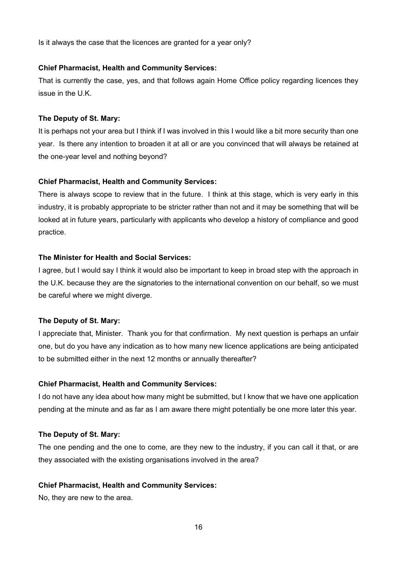Is it always the case that the licences are granted for a year only?

#### **Chief Pharmacist, Health and Community Services:**

That is currently the case, yes, and that follows again Home Office policy regarding licences they issue in the U.K.

#### **The Deputy of St. Mary:**

It is perhaps not your area but I think if I was involved in this I would like a bit more security than one year. Is there any intention to broaden it at all or are you convinced that will always be retained at the one-year level and nothing beyond?

#### **Chief Pharmacist, Health and Community Services:**

There is always scope to review that in the future. I think at this stage, which is very early in this industry, it is probably appropriate to be stricter rather than not and it may be something that will be looked at in future years, particularly with applicants who develop a history of compliance and good practice.

#### **The Minister for Health and Social Services:**

I agree, but I would say I think it would also be important to keep in broad step with the approach in the U.K. because they are the signatories to the international convention on our behalf, so we must be careful where we might diverge.

#### **The Deputy of St. Mary:**

I appreciate that, Minister. Thank you for that confirmation. My next question is perhaps an unfair one, but do you have any indication as to how many new licence applications are being anticipated to be submitted either in the next 12 months or annually thereafter?

#### **Chief Pharmacist, Health and Community Services:**

I do not have any idea about how many might be submitted, but I know that we have one application pending at the minute and as far as I am aware there might potentially be one more later this year.

## **The Deputy of St. Mary:**

The one pending and the one to come, are they new to the industry, if you can call it that, or are they associated with the existing organisations involved in the area?

#### **Chief Pharmacist, Health and Community Services:**

No, they are new to the area.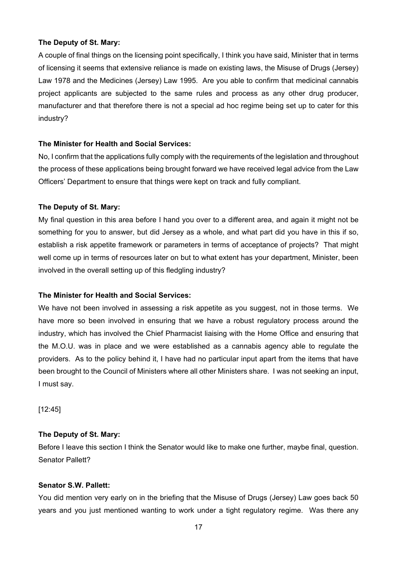## **The Deputy of St. Mary:**

A couple of final things on the licensing point specifically, I think you have said, Minister that in terms of licensing it seems that extensive reliance is made on existing laws, the Misuse of Drugs (Jersey) Law 1978 and the Medicines (Jersey) Law 1995. Are you able to confirm that medicinal cannabis project applicants are subjected to the same rules and process as any other drug producer, manufacturer and that therefore there is not a special ad hoc regime being set up to cater for this industry?

## **The Minister for Health and Social Services:**

No, I confirm that the applications fully comply with the requirements of the legislation and throughout the process of these applications being brought forward we have received legal advice from the Law Officers' Department to ensure that things were kept on track and fully compliant.

## **The Deputy of St. Mary:**

My final question in this area before I hand you over to a different area, and again it might not be something for you to answer, but did Jersey as a whole, and what part did you have in this if so, establish a risk appetite framework or parameters in terms of acceptance of projects? That might well come up in terms of resources later on but to what extent has your department, Minister, been involved in the overall setting up of this fledgling industry?

## **The Minister for Health and Social Services:**

We have not been involved in assessing a risk appetite as you suggest, not in those terms. We have more so been involved in ensuring that we have a robust regulatory process around the industry, which has involved the Chief Pharmacist liaising with the Home Office and ensuring that the M.O.U. was in place and we were established as a cannabis agency able to regulate the providers. As to the policy behind it, I have had no particular input apart from the items that have been brought to the Council of Ministers where all other Ministers share. I was not seeking an input, I must say.

[12:45]

## **The Deputy of St. Mary:**

Before I leave this section I think the Senator would like to make one further, maybe final, question. Senator Pallett?

## **Senator S.W. Pallett:**

You did mention very early on in the briefing that the Misuse of Drugs (Jersey) Law goes back 50 years and you just mentioned wanting to work under a tight regulatory regime. Was there any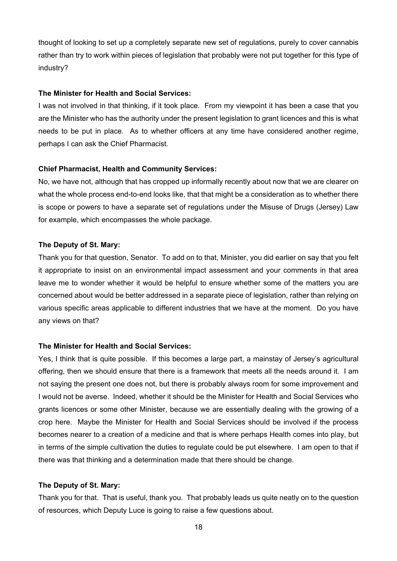thought of looking to set up a completely separate new set of regulations, purely to cover cannabis rather than try to work within pieces of legislation that probably were not put together for this type of industry?

#### **The Minister for Health and Social Services:**

I was not involved in that thinking, if it took place. From my viewpoint it has been a case that you are the Minister who has the authority under the present legislation to grant licences and this is what needs to be put in place. As to whether officers at any time have considered another regime, perhaps I can ask the Chief Pharmacist.

#### **Chief Pharmacist, Health and Community Services:**

No, we have not, although that has cropped up informally recently about now that we are clearer on what the whole process end-to-end looks like, that that might be a consideration as to whether there is scope or powers to have a separate set of regulations under the Misuse of Drugs (Jersey) Law for example, which encompasses the whole package.

#### **The Deputy of St. Mary:**

Thank you for that question, Senator. To add on to that, Minister, you did earlier on say that you felt it appropriate to insist on an environmental impact assessment and your comments in that area leave me to wonder whether it would be helpful to ensure whether some of the matters you are concerned about would be better addressed in a separate piece of legislation, rather than relying on various specific areas applicable to different industries that we have at the moment. Do you have any views on that?

#### **The Minister for Health and Social Services:**

Yes, I think that is quite possible. If this becomes a large part, a mainstay of Jersey's agricultural offering, then we should ensure that there is a framework that meets all the needs around it. I am not saying the present one does not, but there is probably always room for some improvement and I would not be averse. Indeed, whether it should be the Minister for Health and Social Services who grants licences or some other Minister, because we are essentially dealing with the growing of a crop here. Maybe the Minister for Health and Social Services should be involved if the process becomes nearer to a creation of a medicine and that is where perhaps Health comes into play, but in terms of the simple cultivation the duties to regulate could be put elsewhere. I am open to that if there was that thinking and a determination made that there should be change.

#### **The Deputy of St. Mary:**

Thank you for that. That is useful, thank you. That probably leads us quite neatly on to the question of resources, which Deputy Luce is going to raise a few questions about.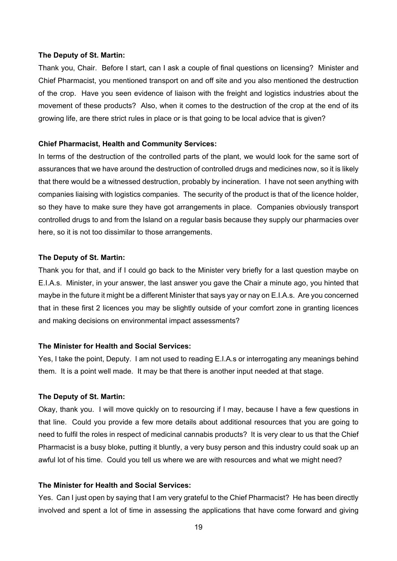#### **The Deputy of St. Martin:**

Thank you, Chair. Before I start, can I ask a couple of final questions on licensing? Minister and Chief Pharmacist, you mentioned transport on and off site and you also mentioned the destruction of the crop. Have you seen evidence of liaison with the freight and logistics industries about the movement of these products? Also, when it comes to the destruction of the crop at the end of its growing life, are there strict rules in place or is that going to be local advice that is given?

#### **Chief Pharmacist, Health and Community Services:**

In terms of the destruction of the controlled parts of the plant, we would look for the same sort of assurances that we have around the destruction of controlled drugs and medicines now, so it is likely that there would be a witnessed destruction, probably by incineration. I have not seen anything with companies liaising with logistics companies. The security of the product is that of the licence holder, so they have to make sure they have got arrangements in place. Companies obviously transport controlled drugs to and from the Island on a regular basis because they supply our pharmacies over here, so it is not too dissimilar to those arrangements.

#### **The Deputy of St. Martin:**

Thank you for that, and if I could go back to the Minister very briefly for a last question maybe on E.I.A.s. Minister, in your answer, the last answer you gave the Chair a minute ago, you hinted that maybe in the future it might be a different Minister that says yay or nay on E.I.A.s. Are you concerned that in these first 2 licences you may be slightly outside of your comfort zone in granting licences and making decisions on environmental impact assessments?

#### **The Minister for Health and Social Services:**

Yes, I take the point, Deputy. I am not used to reading E.I.A.s or interrogating any meanings behind them. It is a point well made. It may be that there is another input needed at that stage.

#### **The Deputy of St. Martin:**

Okay, thank you. I will move quickly on to resourcing if I may, because I have a few questions in that line. Could you provide a few more details about additional resources that you are going to need to fulfil the roles in respect of medicinal cannabis products? It is very clear to us that the Chief Pharmacist is a busy bloke, putting it bluntly, a very busy person and this industry could soak up an awful lot of his time. Could you tell us where we are with resources and what we might need?

## **The Minister for Health and Social Services:**

Yes. Can I just open by saying that I am very grateful to the Chief Pharmacist? He has been directly involved and spent a lot of time in assessing the applications that have come forward and giving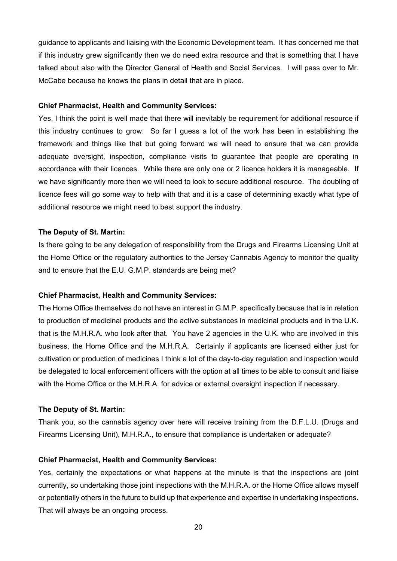guidance to applicants and liaising with the Economic Development team. It has concerned me that if this industry grew significantly then we do need extra resource and that is something that I have talked about also with the Director General of Health and Social Services. I will pass over to Mr. McCabe because he knows the plans in detail that are in place.

#### **Chief Pharmacist, Health and Community Services:**

Yes, I think the point is well made that there will inevitably be requirement for additional resource if this industry continues to grow. So far I guess a lot of the work has been in establishing the framework and things like that but going forward we will need to ensure that we can provide adequate oversight, inspection, compliance visits to guarantee that people are operating in accordance with their licences. While there are only one or 2 licence holders it is manageable. If we have significantly more then we will need to look to secure additional resource. The doubling of licence fees will go some way to help with that and it is a case of determining exactly what type of additional resource we might need to best support the industry.

#### **The Deputy of St. Martin:**

Is there going to be any delegation of responsibility from the Drugs and Firearms Licensing Unit at the Home Office or the regulatory authorities to the Jersey Cannabis Agency to monitor the quality and to ensure that the E.U. G.M.P. standards are being met?

#### **Chief Pharmacist, Health and Community Services:**

The Home Office themselves do not have an interest in G.M.P. specifically because that is in relation to production of medicinal products and the active substances in medicinal products and in the U.K. that is the M.H.R.A. who look after that. You have 2 agencies in the U.K. who are involved in this business, the Home Office and the M.H.R.A. Certainly if applicants are licensed either just for cultivation or production of medicines I think a lot of the day-to-day regulation and inspection would be delegated to local enforcement officers with the option at all times to be able to consult and liaise with the Home Office or the M.H.R.A. for advice or external oversight inspection if necessary.

#### **The Deputy of St. Martin:**

Thank you, so the cannabis agency over here will receive training from the D.F.L.U. (Drugs and Firearms Licensing Unit), M.H.R.A., to ensure that compliance is undertaken or adequate?

#### **Chief Pharmacist, Health and Community Services:**

Yes, certainly the expectations or what happens at the minute is that the inspections are joint currently, so undertaking those joint inspections with the M.H.R.A. or the Home Office allows myself or potentially others in the future to build up that experience and expertise in undertaking inspections. That will always be an ongoing process.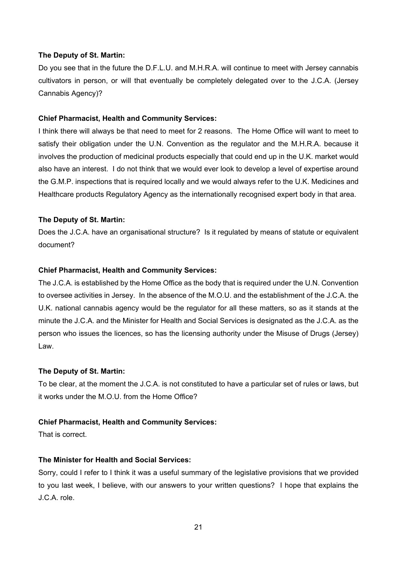#### **The Deputy of St. Martin:**

Do you see that in the future the D.F.L.U. and M.H.R.A. will continue to meet with Jersey cannabis cultivators in person, or will that eventually be completely delegated over to the J.C.A. (Jersey Cannabis Agency)?

#### **Chief Pharmacist, Health and Community Services:**

I think there will always be that need to meet for 2 reasons. The Home Office will want to meet to satisfy their obligation under the U.N. Convention as the regulator and the M.H.R.A. because it involves the production of medicinal products especially that could end up in the U.K. market would also have an interest. I do not think that we would ever look to develop a level of expertise around the G.M.P. inspections that is required locally and we would always refer to the U.K. Medicines and Healthcare products Regulatory Agency as the internationally recognised expert body in that area.

#### **The Deputy of St. Martin:**

Does the J.C.A. have an organisational structure? Is it regulated by means of statute or equivalent document?

#### **Chief Pharmacist, Health and Community Services:**

The J.C.A. is established by the Home Office as the body that is required under the U.N. Convention to oversee activities in Jersey. In the absence of the M.O.U. and the establishment of the J.C.A. the U.K. national cannabis agency would be the regulator for all these matters, so as it stands at the minute the J.C.A. and the Minister for Health and Social Services is designated as the J.C.A. as the person who issues the licences, so has the licensing authority under the Misuse of Drugs (Jersey) Law.

#### **The Deputy of St. Martin:**

To be clear, at the moment the J.C.A. is not constituted to have a particular set of rules or laws, but it works under the M.O.U. from the Home Office?

#### **Chief Pharmacist, Health and Community Services:**

That is correct.

#### **The Minister for Health and Social Services:**

Sorry, could I refer to I think it was a useful summary of the legislative provisions that we provided to you last week, I believe, with our answers to your written questions? I hope that explains the J.C.A. role.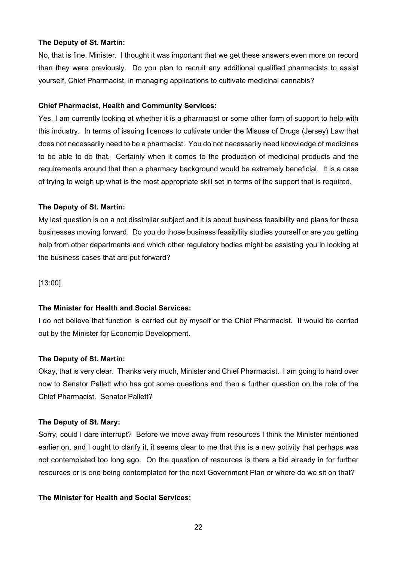#### **The Deputy of St. Martin:**

No, that is fine, Minister. I thought it was important that we get these answers even more on record than they were previously. Do you plan to recruit any additional qualified pharmacists to assist yourself, Chief Pharmacist, in managing applications to cultivate medicinal cannabis?

## **Chief Pharmacist, Health and Community Services:**

Yes, I am currently looking at whether it is a pharmacist or some other form of support to help with this industry. In terms of issuing licences to cultivate under the Misuse of Drugs (Jersey) Law that does not necessarily need to be a pharmacist. You do not necessarily need knowledge of medicines to be able to do that. Certainly when it comes to the production of medicinal products and the requirements around that then a pharmacy background would be extremely beneficial. It is a case of trying to weigh up what is the most appropriate skill set in terms of the support that is required.

## **The Deputy of St. Martin:**

My last question is on a not dissimilar subject and it is about business feasibility and plans for these businesses moving forward. Do you do those business feasibility studies yourself or are you getting help from other departments and which other regulatory bodies might be assisting you in looking at the business cases that are put forward?

[13:00]

## **The Minister for Health and Social Services:**

I do not believe that function is carried out by myself or the Chief Pharmacist. It would be carried out by the Minister for Economic Development.

## **The Deputy of St. Martin:**

Okay, that is very clear. Thanks very much, Minister and Chief Pharmacist. I am going to hand over now to Senator Pallett who has got some questions and then a further question on the role of the Chief Pharmacist. Senator Pallett?

#### **The Deputy of St. Mary:**

Sorry, could I dare interrupt? Before we move away from resources I think the Minister mentioned earlier on, and I ought to clarify it, it seems clear to me that this is a new activity that perhaps was not contemplated too long ago. On the question of resources is there a bid already in for further resources or is one being contemplated for the next Government Plan or where do we sit on that?

## **The Minister for Health and Social Services:**

22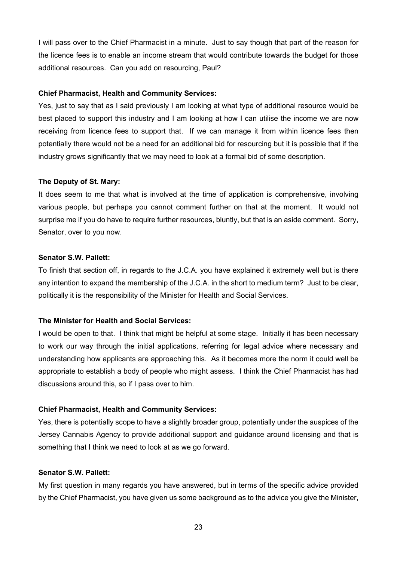I will pass over to the Chief Pharmacist in a minute. Just to say though that part of the reason for the licence fees is to enable an income stream that would contribute towards the budget for those additional resources. Can you add on resourcing, Paul?

### **Chief Pharmacist, Health and Community Services:**

Yes, just to say that as I said previously I am looking at what type of additional resource would be best placed to support this industry and I am looking at how I can utilise the income we are now receiving from licence fees to support that. If we can manage it from within licence fees then potentially there would not be a need for an additional bid for resourcing but it is possible that if the industry grows significantly that we may need to look at a formal bid of some description.

## **The Deputy of St. Mary:**

It does seem to me that what is involved at the time of application is comprehensive, involving various people, but perhaps you cannot comment further on that at the moment. It would not surprise me if you do have to require further resources, bluntly, but that is an aside comment. Sorry, Senator, over to you now.

#### **Senator S.W. Pallett:**

To finish that section off, in regards to the J.C.A. you have explained it extremely well but is there any intention to expand the membership of the J.C.A. in the short to medium term? Just to be clear, politically it is the responsibility of the Minister for Health and Social Services.

## **The Minister for Health and Social Services:**

I would be open to that. I think that might be helpful at some stage. Initially it has been necessary to work our way through the initial applications, referring for legal advice where necessary and understanding how applicants are approaching this. As it becomes more the norm it could well be appropriate to establish a body of people who might assess. I think the Chief Pharmacist has had discussions around this, so if I pass over to him.

## **Chief Pharmacist, Health and Community Services:**

Yes, there is potentially scope to have a slightly broader group, potentially under the auspices of the Jersey Cannabis Agency to provide additional support and guidance around licensing and that is something that I think we need to look at as we go forward.

## **Senator S.W. Pallett:**

My first question in many regards you have answered, but in terms of the specific advice provided by the Chief Pharmacist, you have given us some background as to the advice you give the Minister,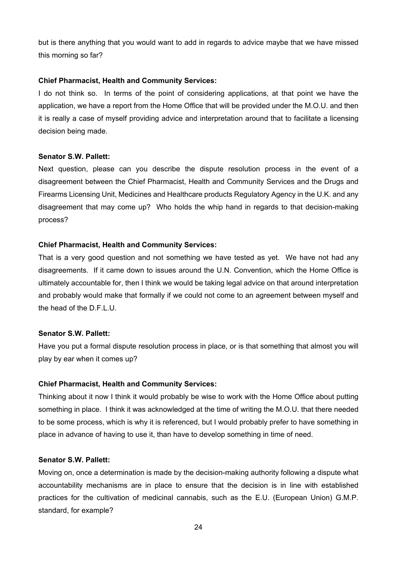but is there anything that you would want to add in regards to advice maybe that we have missed this morning so far?

#### **Chief Pharmacist, Health and Community Services:**

I do not think so. In terms of the point of considering applications, at that point we have the application, we have a report from the Home Office that will be provided under the M.O.U. and then it is really a case of myself providing advice and interpretation around that to facilitate a licensing decision being made.

#### **Senator S.W. Pallett:**

Next question, please can you describe the dispute resolution process in the event of a disagreement between the Chief Pharmacist, Health and Community Services and the Drugs and Firearms Licensing Unit, Medicines and Healthcare products Regulatory Agency in the U.K. and any disagreement that may come up? Who holds the whip hand in regards to that decision-making process?

#### **Chief Pharmacist, Health and Community Services:**

That is a very good question and not something we have tested as yet. We have not had any disagreements. If it came down to issues around the U.N. Convention, which the Home Office is ultimately accountable for, then I think we would be taking legal advice on that around interpretation and probably would make that formally if we could not come to an agreement between myself and the head of the D.F.L.U.

#### **Senator S.W. Pallett:**

Have you put a formal dispute resolution process in place, or is that something that almost you will play by ear when it comes up?

#### **Chief Pharmacist, Health and Community Services:**

Thinking about it now I think it would probably be wise to work with the Home Office about putting something in place. I think it was acknowledged at the time of writing the M.O.U. that there needed to be some process, which is why it is referenced, but I would probably prefer to have something in place in advance of having to use it, than have to develop something in time of need.

#### **Senator S.W. Pallett:**

Moving on, once a determination is made by the decision-making authority following a dispute what accountability mechanisms are in place to ensure that the decision is in line with established practices for the cultivation of medicinal cannabis, such as the E.U. (European Union) G.M.P. standard, for example?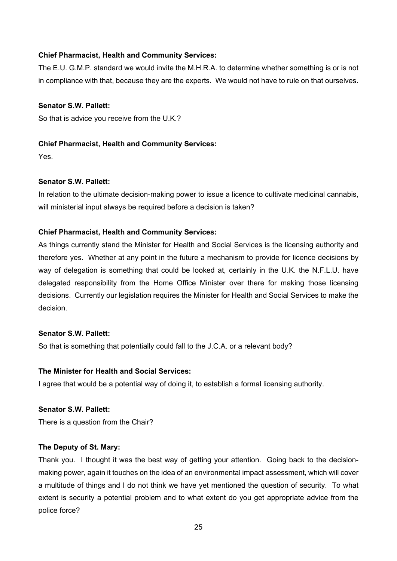## **Chief Pharmacist, Health and Community Services:**

The E.U. G.M.P. standard we would invite the M.H.R.A. to determine whether something is or is not in compliance with that, because they are the experts. We would not have to rule on that ourselves.

## **Senator S.W. Pallett:**

So that is advice you receive from the U.K.?

## **Chief Pharmacist, Health and Community Services:**

Yes.

## **Senator S.W. Pallett:**

In relation to the ultimate decision-making power to issue a licence to cultivate medicinal cannabis, will ministerial input always be required before a decision is taken?

## **Chief Pharmacist, Health and Community Services:**

As things currently stand the Minister for Health and Social Services is the licensing authority and therefore yes. Whether at any point in the future a mechanism to provide for licence decisions by way of delegation is something that could be looked at, certainly in the U.K. the N.F.L.U. have delegated responsibility from the Home Office Minister over there for making those licensing decisions. Currently our legislation requires the Minister for Health and Social Services to make the decision.

#### **Senator S.W. Pallett:**

So that is something that potentially could fall to the J.C.A. or a relevant body?

#### **The Minister for Health and Social Services:**

I agree that would be a potential way of doing it, to establish a formal licensing authority.

## **Senator S.W. Pallett:**

There is a question from the Chair?

#### **The Deputy of St. Mary:**

Thank you. I thought it was the best way of getting your attention. Going back to the decisionmaking power, again it touches on the idea of an environmental impact assessment, which will cover a multitude of things and I do not think we have yet mentioned the question of security. To what extent is security a potential problem and to what extent do you get appropriate advice from the police force?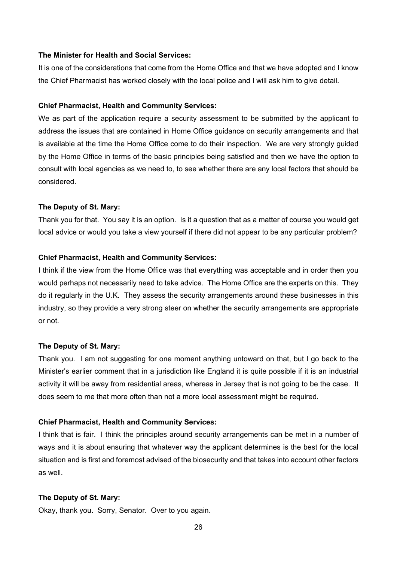## **The Minister for Health and Social Services:**

It is one of the considerations that come from the Home Office and that we have adopted and I know the Chief Pharmacist has worked closely with the local police and I will ask him to give detail.

#### **Chief Pharmacist, Health and Community Services:**

We as part of the application require a security assessment to be submitted by the applicant to address the issues that are contained in Home Office guidance on security arrangements and that is available at the time the Home Office come to do their inspection. We are very strongly guided by the Home Office in terms of the basic principles being satisfied and then we have the option to consult with local agencies as we need to, to see whether there are any local factors that should be considered.

#### **The Deputy of St. Mary:**

Thank you for that. You say it is an option. Is it a question that as a matter of course you would get local advice or would you take a view yourself if there did not appear to be any particular problem?

#### **Chief Pharmacist, Health and Community Services:**

I think if the view from the Home Office was that everything was acceptable and in order then you would perhaps not necessarily need to take advice. The Home Office are the experts on this. They do it regularly in the U.K. They assess the security arrangements around these businesses in this industry, so they provide a very strong steer on whether the security arrangements are appropriate or not.

#### **The Deputy of St. Mary:**

Thank you. I am not suggesting for one moment anything untoward on that, but I go back to the Minister's earlier comment that in a jurisdiction like England it is quite possible if it is an industrial activity it will be away from residential areas, whereas in Jersey that is not going to be the case. It does seem to me that more often than not a more local assessment might be required.

### **Chief Pharmacist, Health and Community Services:**

I think that is fair. I think the principles around security arrangements can be met in a number of ways and it is about ensuring that whatever way the applicant determines is the best for the local situation and is first and foremost advised of the biosecurity and that takes into account other factors as well.

#### **The Deputy of St. Mary:**

Okay, thank you. Sorry, Senator. Over to you again.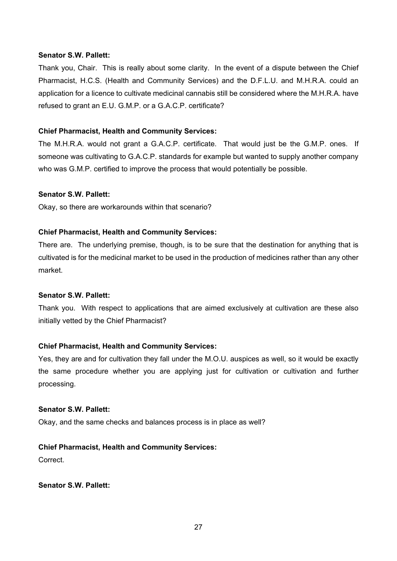#### **Senator S.W. Pallett:**

Thank you, Chair. This is really about some clarity. In the event of a dispute between the Chief Pharmacist, H.C.S. (Health and Community Services) and the D.F.L.U. and M.H.R.A. could an application for a licence to cultivate medicinal cannabis still be considered where the M.H.R.A. have refused to grant an E.U. G.M.P. or a G.A.C.P. certificate?

#### **Chief Pharmacist, Health and Community Services:**

The M.H.R.A. would not grant a G.A.C.P. certificate. That would just be the G.M.P. ones. If someone was cultivating to G.A.C.P. standards for example but wanted to supply another company who was G.M.P. certified to improve the process that would potentially be possible.

#### **Senator S.W. Pallett:**

Okay, so there are workarounds within that scenario?

## **Chief Pharmacist, Health and Community Services:**

There are. The underlying premise, though, is to be sure that the destination for anything that is cultivated is for the medicinal market to be used in the production of medicines rather than any other market.

#### **Senator S.W. Pallett:**

Thank you. With respect to applications that are aimed exclusively at cultivation are these also initially vetted by the Chief Pharmacist?

## **Chief Pharmacist, Health and Community Services:**

Yes, they are and for cultivation they fall under the M.O.U. auspices as well, so it would be exactly the same procedure whether you are applying just for cultivation or cultivation and further processing.

## **Senator S.W. Pallett:**

Okay, and the same checks and balances process is in place as well?

## **Chief Pharmacist, Health and Community Services:**

Correct.

## **Senator S.W. Pallett:**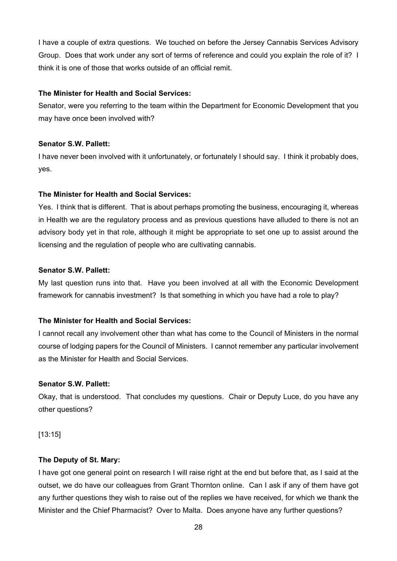I have a couple of extra questions. We touched on before the Jersey Cannabis Services Advisory Group. Does that work under any sort of terms of reference and could you explain the role of it? I think it is one of those that works outside of an official remit.

## **The Minister for Health and Social Services:**

Senator, were you referring to the team within the Department for Economic Development that you may have once been involved with?

## **Senator S.W. Pallett:**

I have never been involved with it unfortunately, or fortunately I should say. I think it probably does, yes.

## **The Minister for Health and Social Services:**

Yes. I think that is different. That is about perhaps promoting the business, encouraging it, whereas in Health we are the regulatory process and as previous questions have alluded to there is not an advisory body yet in that role, although it might be appropriate to set one up to assist around the licensing and the regulation of people who are cultivating cannabis.

## **Senator S.W. Pallett:**

My last question runs into that. Have you been involved at all with the Economic Development framework for cannabis investment? Is that something in which you have had a role to play?

## **The Minister for Health and Social Services:**

I cannot recall any involvement other than what has come to the Council of Ministers in the normal course of lodging papers for the Council of Ministers. I cannot remember any particular involvement as the Minister for Health and Social Services.

## **Senator S.W. Pallett:**

Okay, that is understood. That concludes my questions. Chair or Deputy Luce, do you have any other questions?

[13:15]

## **The Deputy of St. Mary:**

I have got one general point on research I will raise right at the end but before that, as I said at the outset, we do have our colleagues from Grant Thornton online. Can I ask if any of them have got any further questions they wish to raise out of the replies we have received, for which we thank the Minister and the Chief Pharmacist? Over to Malta. Does anyone have any further questions?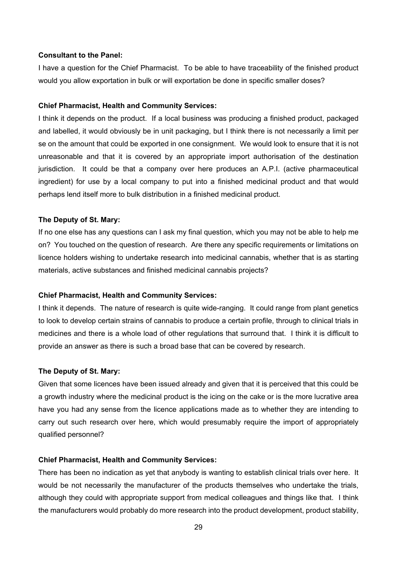#### **Consultant to the Panel:**

I have a question for the Chief Pharmacist. To be able to have traceability of the finished product would you allow exportation in bulk or will exportation be done in specific smaller doses?

#### **Chief Pharmacist, Health and Community Services:**

I think it depends on the product. If a local business was producing a finished product, packaged and labelled, it would obviously be in unit packaging, but I think there is not necessarily a limit per se on the amount that could be exported in one consignment. We would look to ensure that it is not unreasonable and that it is covered by an appropriate import authorisation of the destination jurisdiction. It could be that a company over here produces an A.P.I. (active pharmaceutical ingredient) for use by a local company to put into a finished medicinal product and that would perhaps lend itself more to bulk distribution in a finished medicinal product.

#### **The Deputy of St. Mary:**

If no one else has any questions can I ask my final question, which you may not be able to help me on? You touched on the question of research. Are there any specific requirements or limitations on licence holders wishing to undertake research into medicinal cannabis, whether that is as starting materials, active substances and finished medicinal cannabis projects?

#### **Chief Pharmacist, Health and Community Services:**

I think it depends. The nature of research is quite wide-ranging. It could range from plant genetics to look to develop certain strains of cannabis to produce a certain profile, through to clinical trials in medicines and there is a whole load of other regulations that surround that. I think it is difficult to provide an answer as there is such a broad base that can be covered by research.

#### **The Deputy of St. Mary:**

Given that some licences have been issued already and given that it is perceived that this could be a growth industry where the medicinal product is the icing on the cake or is the more lucrative area have you had any sense from the licence applications made as to whether they are intending to carry out such research over here, which would presumably require the import of appropriately qualified personnel?

#### **Chief Pharmacist, Health and Community Services:**

There has been no indication as yet that anybody is wanting to establish clinical trials over here. It would be not necessarily the manufacturer of the products themselves who undertake the trials, although they could with appropriate support from medical colleagues and things like that. I think the manufacturers would probably do more research into the product development, product stability,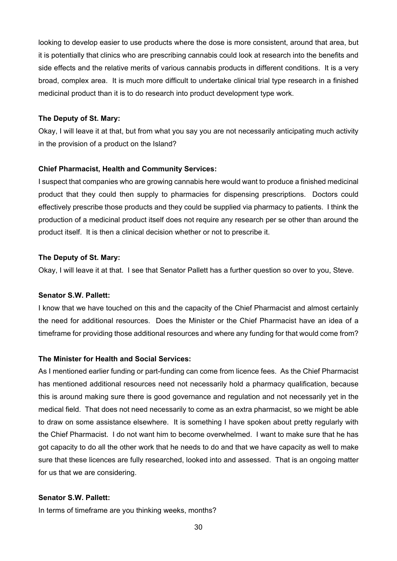looking to develop easier to use products where the dose is more consistent, around that area, but it is potentially that clinics who are prescribing cannabis could look at research into the benefits and side effects and the relative merits of various cannabis products in different conditions. It is a very broad, complex area. It is much more difficult to undertake clinical trial type research in a finished medicinal product than it is to do research into product development type work.

#### **The Deputy of St. Mary:**

Okay, I will leave it at that, but from what you say you are not necessarily anticipating much activity in the provision of a product on the Island?

#### **Chief Pharmacist, Health and Community Services:**

I suspect that companies who are growing cannabis here would want to produce a finished medicinal product that they could then supply to pharmacies for dispensing prescriptions. Doctors could effectively prescribe those products and they could be supplied via pharmacy to patients. I think the production of a medicinal product itself does not require any research per se other than around the product itself. It is then a clinical decision whether or not to prescribe it.

#### **The Deputy of St. Mary:**

Okay, I will leave it at that. I see that Senator Pallett has a further question so over to you, Steve.

## **Senator S.W. Pallett:**

I know that we have touched on this and the capacity of the Chief Pharmacist and almost certainly the need for additional resources. Does the Minister or the Chief Pharmacist have an idea of a timeframe for providing those additional resources and where any funding for that would come from?

#### **The Minister for Health and Social Services:**

As I mentioned earlier funding or part-funding can come from licence fees. As the Chief Pharmacist has mentioned additional resources need not necessarily hold a pharmacy qualification, because this is around making sure there is good governance and regulation and not necessarily yet in the medical field. That does not need necessarily to come as an extra pharmacist, so we might be able to draw on some assistance elsewhere. It is something I have spoken about pretty regularly with the Chief Pharmacist. I do not want him to become overwhelmed. I want to make sure that he has got capacity to do all the other work that he needs to do and that we have capacity as well to make sure that these licences are fully researched, looked into and assessed. That is an ongoing matter for us that we are considering.

#### **Senator S.W. Pallett:**

In terms of timeframe are you thinking weeks, months?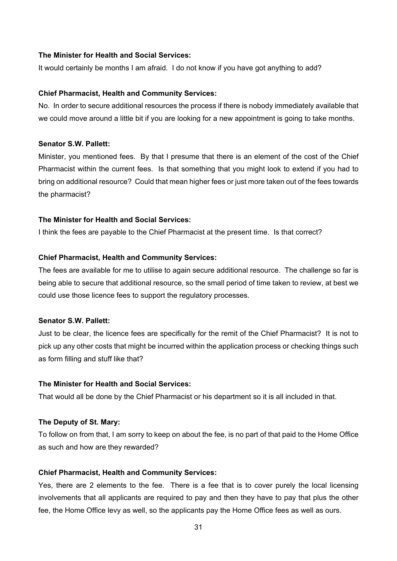## **The Minister for Health and Social Services:**

It would certainly be months I am afraid. I do not know if you have got anything to add?

#### **Chief Pharmacist, Health and Community Services:**

No. In order to secure additional resources the process if there is nobody immediately available that we could move around a little bit if you are looking for a new appointment is going to take months.

## **Senator S.W. Pallett:**

Minister, you mentioned fees. By that I presume that there is an element of the cost of the Chief Pharmacist within the current fees. Is that something that you might look to extend if you had to bring on additional resource? Could that mean higher fees or just more taken out of the fees towards the pharmacist?

#### **The Minister for Health and Social Services:**

I think the fees are payable to the Chief Pharmacist at the present time. Is that correct?

#### **Chief Pharmacist, Health and Community Services:**

The fees are available for me to utilise to again secure additional resource. The challenge so far is being able to secure that additional resource, so the small period of time taken to review, at best we could use those licence fees to support the regulatory processes.

#### **Senator S.W. Pallett:**

Just to be clear, the licence fees are specifically for the remit of the Chief Pharmacist? It is not to pick up any other costs that might be incurred within the application process or checking things such as form filling and stuff like that?

## **The Minister for Health and Social Services:**

That would all be done by the Chief Pharmacist or his department so it is all included in that.

#### **The Deputy of St. Mary:**

To follow on from that, I am sorry to keep on about the fee, is no part of that paid to the Home Office as such and how are they rewarded?

#### **Chief Pharmacist, Health and Community Services:**

Yes, there are 2 elements to the fee. There is a fee that is to cover purely the local licensing involvements that all applicants are required to pay and then they have to pay that plus the other fee, the Home Office levy as well, so the applicants pay the Home Office fees as well as ours.